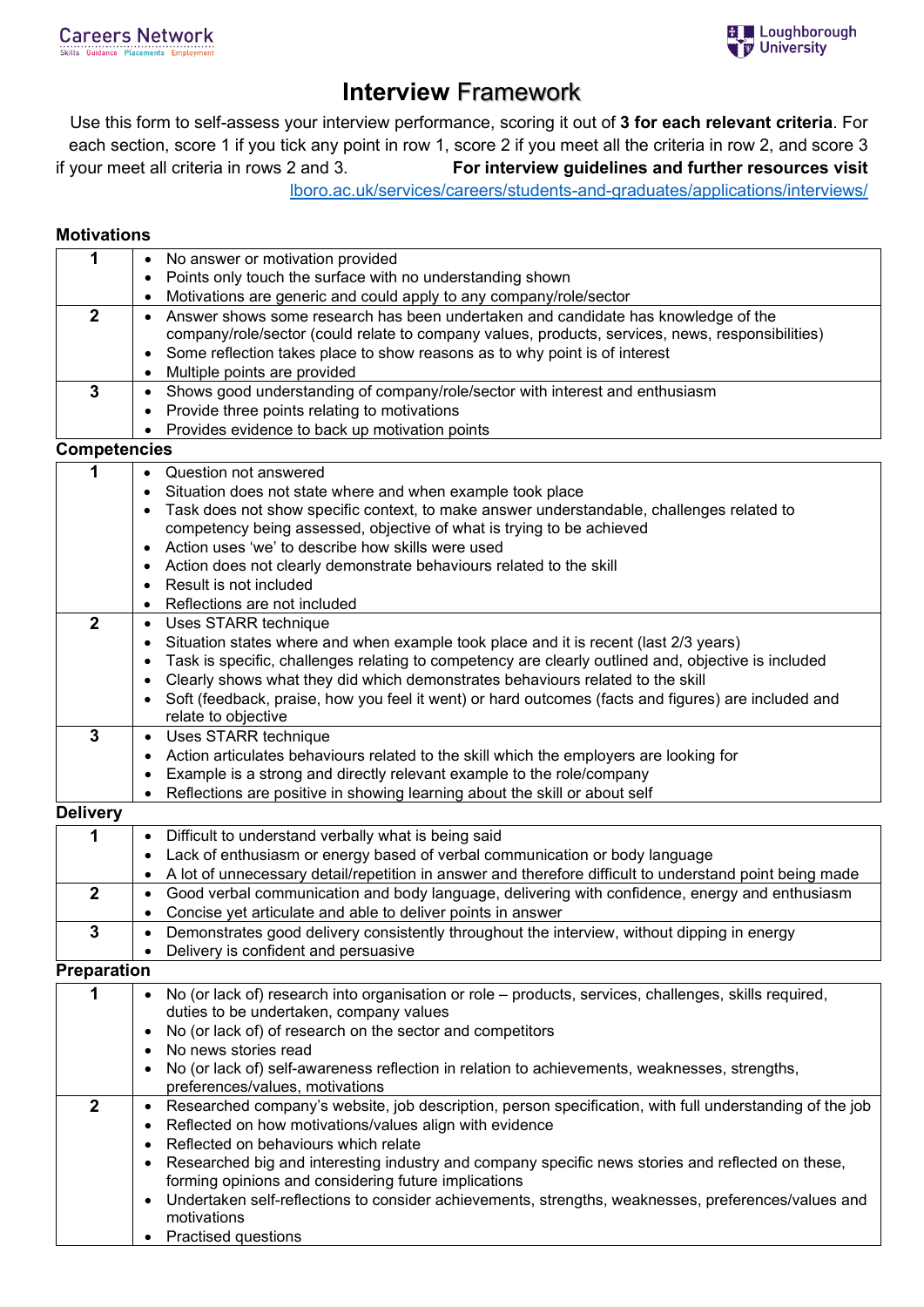# **Interview** Framework

Use this form to self-assess your interview performance, scoring it out of **3 for each relevant criteria**. For each section, score 1 if you tick any point in row 1, score 2 if you meet all the criteria in row 2, and score 3 if your meet all criteria in rows 2 and 3. **For interview guidelines and further resources visit** 

### [lboro.ac.uk/services/careers/students-and-graduates/applications/interviews/](https://www.lboro.ac.uk/services/careers/students-and-graduates/applications/interviews/)

#### **Motivations**

| 1<br>No answer or motivation provided<br>$\bullet$                                                                                       |                                                                             |  |  |  |
|------------------------------------------------------------------------------------------------------------------------------------------|-----------------------------------------------------------------------------|--|--|--|
| Points only touch the surface with no understanding shown                                                                                |                                                                             |  |  |  |
| Motivations are generic and could apply to any company/role/sector<br>$\bullet$                                                          |                                                                             |  |  |  |
| $\overline{2}$<br>Answer shows some research has been undertaken and candidate has knowledge of the<br>$\bullet$                         |                                                                             |  |  |  |
| company/role/sector (could relate to company values, products, services, news, responsibilities)                                         |                                                                             |  |  |  |
| Some reflection takes place to show reasons as to why point is of interest<br>$\bullet$                                                  |                                                                             |  |  |  |
| Multiple points are provided                                                                                                             |                                                                             |  |  |  |
| 3<br>Shows good understanding of company/role/sector with interest and enthusiasm<br>$\bullet$                                           |                                                                             |  |  |  |
| Provide three points relating to motivations<br>$\bullet$                                                                                |                                                                             |  |  |  |
| Provides evidence to back up motivation points<br>$\bullet$                                                                              |                                                                             |  |  |  |
| <b>Competencies</b>                                                                                                                      |                                                                             |  |  |  |
| 1<br>• Question not answered                                                                                                             |                                                                             |  |  |  |
| Situation does not state where and when example took place                                                                               |                                                                             |  |  |  |
| Task does not show specific context, to make answer understandable, challenges related to                                                |                                                                             |  |  |  |
| competency being assessed, objective of what is trying to be achieved                                                                    |                                                                             |  |  |  |
| Action uses 'we' to describe how skills were used                                                                                        |                                                                             |  |  |  |
| Action does not clearly demonstrate behaviours related to the skill<br>$\bullet$                                                         |                                                                             |  |  |  |
| Result is not included                                                                                                                   |                                                                             |  |  |  |
| Reflections are not included<br>$\bullet$                                                                                                |                                                                             |  |  |  |
| $\overline{2}$<br>Uses STARR technique<br>$\bullet$                                                                                      |                                                                             |  |  |  |
| Situation states where and when example took place and it is recent (last 2/3 years)<br>$\bullet$                                        |                                                                             |  |  |  |
| Task is specific, challenges relating to competency are clearly outlined and, objective is included<br>$\bullet$                         |                                                                             |  |  |  |
| Clearly shows what they did which demonstrates behaviours related to the skill<br>$\bullet$                                              |                                                                             |  |  |  |
| Soft (feedback, praise, how you feel it went) or hard outcomes (facts and figures) are included and<br>$\bullet$                         |                                                                             |  |  |  |
| relate to objective                                                                                                                      |                                                                             |  |  |  |
| 3<br>Uses STARR technique<br>$\bullet$                                                                                                   |                                                                             |  |  |  |
| Action articulates behaviours related to the skill which the employers are looking for<br>$\bullet$                                      |                                                                             |  |  |  |
| Example is a strong and directly relevant example to the role/company<br>$\bullet$                                                       |                                                                             |  |  |  |
| Reflections are positive in showing learning about the skill or about self<br>$\bullet$                                                  |                                                                             |  |  |  |
| <b>Delivery</b>                                                                                                                          |                                                                             |  |  |  |
| Difficult to understand verbally what is being said<br>$\bullet$                                                                         |                                                                             |  |  |  |
| ٠                                                                                                                                        | Lack of enthusiasm or energy based of verbal communication or body language |  |  |  |
| A lot of unnecessary detail/repetition in answer and therefore difficult to understand point being made<br>$\bullet$                     |                                                                             |  |  |  |
| $\overline{2}$<br>Good verbal communication and body language, delivering with confidence, energy and enthusiasm<br>$\bullet$            |                                                                             |  |  |  |
| Concise yet articulate and able to deliver points in answer<br>$\bullet$                                                                 |                                                                             |  |  |  |
| 3<br>Demonstrates good delivery consistently throughout the interview, without dipping in energy<br>$\bullet$                            |                                                                             |  |  |  |
| Delivery is confident and persuasive                                                                                                     |                                                                             |  |  |  |
| <b>Preparation</b>                                                                                                                       |                                                                             |  |  |  |
| No (or lack of) research into organisation or role - products, services, challenges, skills required,<br>$\bullet$                       |                                                                             |  |  |  |
| duties to be undertaken, company values                                                                                                  |                                                                             |  |  |  |
| No (or lack of) of research on the sector and competitors<br>٠                                                                           |                                                                             |  |  |  |
| No news stories read                                                                                                                     |                                                                             |  |  |  |
| No (or lack of) self-awareness reflection in relation to achievements, weaknesses, strengths,                                            |                                                                             |  |  |  |
| preferences/values, motivations                                                                                                          |                                                                             |  |  |  |
| $\boldsymbol{2}$<br>Researched company's website, job description, person specification, with full understanding of the job<br>$\bullet$ |                                                                             |  |  |  |
| Reflected on how motivations/values align with evidence<br>٠                                                                             |                                                                             |  |  |  |
| Reflected on behaviours which relate<br>٠                                                                                                |                                                                             |  |  |  |
| Researched big and interesting industry and company specific news stories and reflected on these,<br>٠                                   |                                                                             |  |  |  |
| forming opinions and considering future implications                                                                                     |                                                                             |  |  |  |
|                                                                                                                                          |                                                                             |  |  |  |
| Undertaken self-reflections to consider achievements, strengths, weaknesses, preferences/values and<br>$\bullet$<br>motivations          |                                                                             |  |  |  |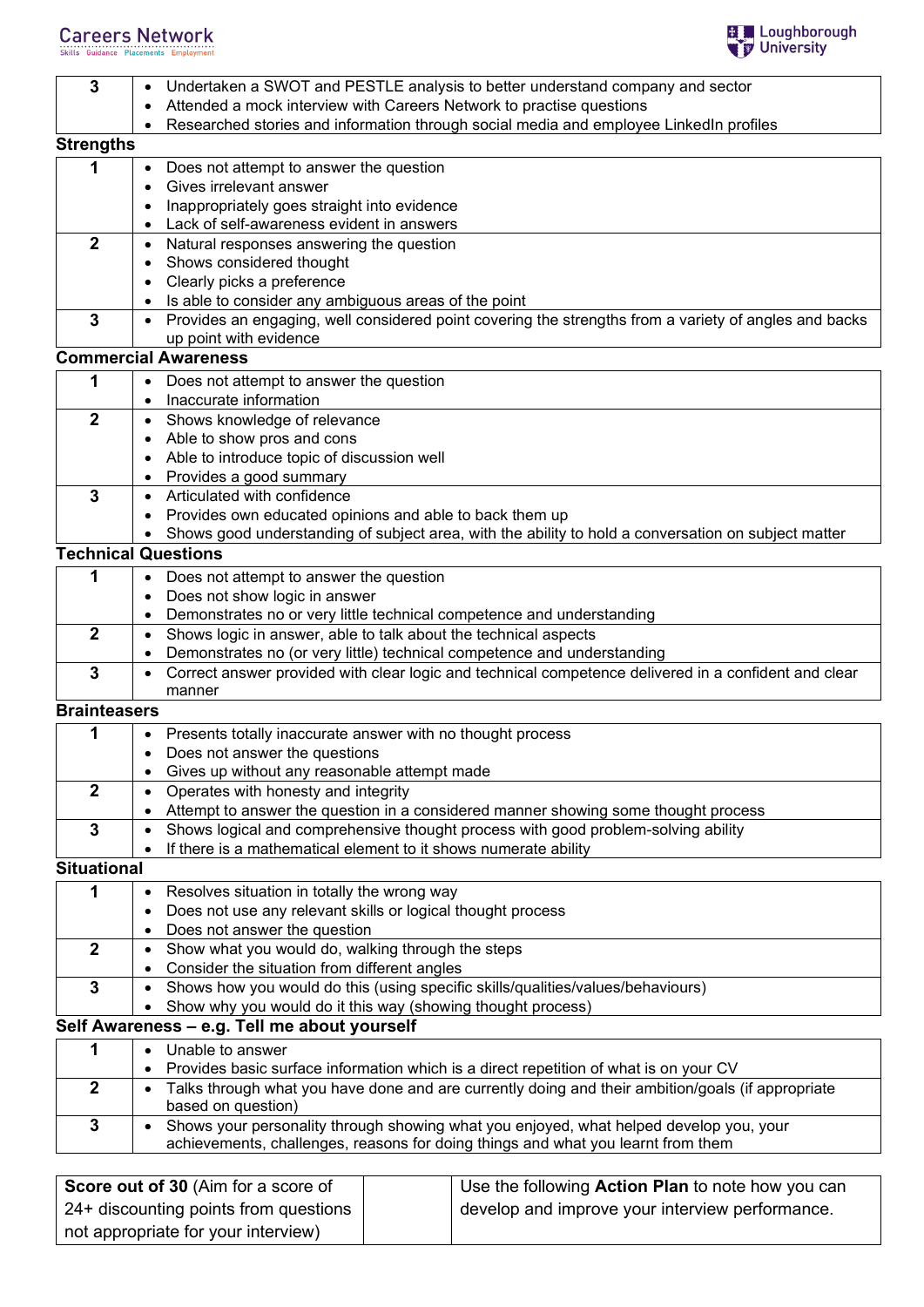# **Careers Network**<br>Skills Guidance Placements Employment



| $\mathbf{3}$        | Undertaken a SWOT and PESTLE analysis to better understand company and sector                                                                  |  |  |
|---------------------|------------------------------------------------------------------------------------------------------------------------------------------------|--|--|
|                     | Attended a mock interview with Careers Network to practise questions                                                                           |  |  |
|                     | Researched stories and information through social media and employee LinkedIn profiles                                                         |  |  |
| <b>Strengths</b>    |                                                                                                                                                |  |  |
| 1                   | Does not attempt to answer the question<br>$\bullet$                                                                                           |  |  |
|                     | Gives irrelevant answer                                                                                                                        |  |  |
|                     | Inappropriately goes straight into evidence                                                                                                    |  |  |
|                     | Lack of self-awareness evident in answers                                                                                                      |  |  |
| $\mathbf{2}$        | Natural responses answering the question<br>$\bullet$                                                                                          |  |  |
|                     | Shows considered thought<br>٠                                                                                                                  |  |  |
|                     | Clearly picks a preference                                                                                                                     |  |  |
|                     | Is able to consider any ambiguous areas of the point                                                                                           |  |  |
| 3                   | • Provides an engaging, well considered point covering the strengths from a variety of angles and backs                                        |  |  |
|                     | up point with evidence                                                                                                                         |  |  |
|                     | <b>Commercial Awareness</b>                                                                                                                    |  |  |
| 1                   |                                                                                                                                                |  |  |
|                     | Does not attempt to answer the question                                                                                                        |  |  |
| $\overline{2}$      | Inaccurate information                                                                                                                         |  |  |
|                     | Shows knowledge of relevance<br>$\bullet$                                                                                                      |  |  |
|                     | Able to show pros and cons                                                                                                                     |  |  |
|                     | Able to introduce topic of discussion well                                                                                                     |  |  |
|                     | Provides a good summary<br>Articulated with confidence                                                                                         |  |  |
| 3                   |                                                                                                                                                |  |  |
|                     | Provides own educated opinions and able to back them up                                                                                        |  |  |
|                     | Shows good understanding of subject area, with the ability to hold a conversation on subject matter<br>$\bullet$<br><b>Technical Questions</b> |  |  |
|                     |                                                                                                                                                |  |  |
| 1                   | Does not attempt to answer the question<br>$\bullet$                                                                                           |  |  |
|                     | Does not show logic in answer                                                                                                                  |  |  |
|                     | Demonstrates no or very little technical competence and understanding                                                                          |  |  |
| $\mathbf{2}$        | Shows logic in answer, able to talk about the technical aspects<br>$\bullet$                                                                   |  |  |
|                     | Demonstrates no (or very little) technical competence and understanding<br>٠                                                                   |  |  |
| 3                   | Correct answer provided with clear logic and technical competence delivered in a confident and clear                                           |  |  |
|                     | manner                                                                                                                                         |  |  |
| <b>Brainteasers</b> |                                                                                                                                                |  |  |
| 1                   | • Presents totally inaccurate answer with no thought process                                                                                   |  |  |
|                     | Does not answer the questions                                                                                                                  |  |  |
|                     | Gives up without any reasonable attempt made                                                                                                   |  |  |
| $\mathbf{2}$        | Operates with honesty and integrity                                                                                                            |  |  |
|                     | Attempt to answer the question in a considered manner showing some thought process                                                             |  |  |
| 3                   | Shows logical and comprehensive thought process with good problem-solving ability<br>$\bullet$                                                 |  |  |
|                     | If there is a mathematical element to it shows numerate ability                                                                                |  |  |
| <b>Situational</b>  |                                                                                                                                                |  |  |
| 1                   | Resolves situation in totally the wrong way<br>$\bullet$                                                                                       |  |  |
|                     | Does not use any relevant skills or logical thought process                                                                                    |  |  |
|                     | Does not answer the question                                                                                                                   |  |  |
| $\overline{2}$      | Show what you would do, walking through the steps<br>$\bullet$                                                                                 |  |  |
|                     | Consider the situation from different angles                                                                                                   |  |  |
| $\mathbf 3$         | Shows how you would do this (using specific skills/qualities/values/behaviours)<br>$\bullet$                                                   |  |  |
|                     | Show why you would do it this way (showing thought process)                                                                                    |  |  |
|                     | Self Awareness - e.g. Tell me about yourself                                                                                                   |  |  |
| 1                   | Unable to answer<br>$\bullet$                                                                                                                  |  |  |
|                     | Provides basic surface information which is a direct repetition of what is on your CV                                                          |  |  |
| $\overline{2}$      | Talks through what you have done and are currently doing and their ambition/goals (if appropriate<br>$\bullet$                                 |  |  |
|                     | based on question)                                                                                                                             |  |  |
| 3                   | Shows your personality through showing what you enjoyed, what helped develop you, your<br>$\bullet$                                            |  |  |
|                     | achievements, challenges, reasons for doing things and what you learnt from them                                                               |  |  |
|                     |                                                                                                                                                |  |  |
|                     | Score out of 30 $(\Delta im$ for a score of<br>Llee the following Action Plan to note how you can                                              |  |  |

| <b>Score out of 30 (Aim for a score of</b> | Use the following Action Plan to note how you can |
|--------------------------------------------|---------------------------------------------------|
| 24+ discounting points from questions      | develop and improve your interview performance.   |
| not appropriate for your interview)        |                                                   |